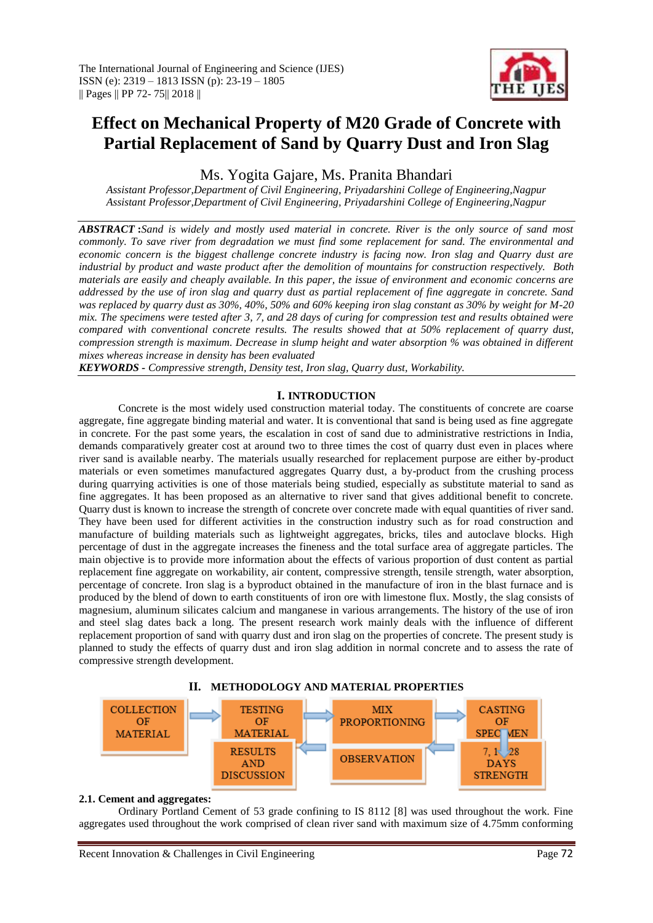

# **Effect on Mechanical Property of M20 Grade of Concrete with Partial Replacement of Sand by Quarry Dust and Iron Slag**

Ms. Yogita Gajare, Ms. Pranita Bhandari

*Assistant Professor,Department of Civil Engineering, Priyadarshini College of Engineering,Nagpur Assistant Professor,Department of Civil Engineering, Priyadarshini College of Engineering,Nagpur*

*ABSTRACT* **:***Sand is widely and mostly used material in concrete. River is the only source of sand most commonly. To save river from degradation we must find some replacement for sand. The environmental and economic concern is the biggest challenge concrete industry is facing now. Iron slag and Quarry dust are industrial by product and waste product after the demolition of mountains for construction respectively. Both materials are easily and cheaply available. In this paper, the issue of environment and economic concerns are addressed by the use of iron slag and quarry dust as partial replacement of fine aggregate in concrete. Sand was replaced by quarry dust as 30%, 40%, 50% and 60% keeping iron slag constant as 30% by weight for M-20 mix. The specimens were tested after 3, 7, and 28 days of curing for compression test and results obtained were compared with conventional concrete results. The results showed that at 50% replacement of quarry dust, compression strength is maximum. Decrease in slump height and water absorption % was obtained in different mixes whereas increase in density has been evaluated*

*KEYWORDS - Compressive strength, Density test, Iron slag, Quarry dust, Workability.*

## **I. INTRODUCTION**

Concrete is the most widely used construction material today. The constituents of concrete are coarse aggregate, fine aggregate binding material and water. It is conventional that sand is being used as fine aggregate in concrete. For the past some years, the escalation in cost of sand due to administrative restrictions in India, demands comparatively greater cost at around two to three times the cost of quarry dust even in places where river sand is available nearby. The materials usually researched for replacement purpose are either by-product materials or even sometimes manufactured aggregates Quarry dust, a by-product from the crushing process during quarrying activities is one of those materials being studied, especially as substitute material to sand as fine aggregates. It has been proposed as an alternative to river sand that gives additional benefit to concrete. Quarry dust is known to increase the strength of concrete over concrete made with equal quantities of river sand. They have been used for different activities in the construction industry such as for road construction and manufacture of building materials such as lightweight aggregates, bricks, tiles and autoclave blocks. High percentage of dust in the aggregate increases the fineness and the total surface area of aggregate particles. The main objective is to provide more information about the effects of various proportion of dust content as partial replacement fine aggregate on workability, air content, compressive strength, tensile strength, water absorption, percentage of concrete. Iron slag is a byproduct obtained in the manufacture of iron in the blast furnace and is produced by the blend of down to earth constituents of iron ore with limestone flux. Mostly, the slag consists of magnesium, aluminum silicates calcium and manganese in various arrangements. The history of the use of iron and steel slag dates back a long. The present research work mainly deals with the influence of different replacement proportion of sand with quarry dust and iron slag on the properties of concrete. The present study is planned to study the effects of quarry dust and iron slag addition in normal concrete and to assess the rate of compressive strength development.





## **2.1. Cement and aggregates:**

Ordinary Portland Cement of 53 grade confining to IS 8112 [8] was used throughout the work. Fine aggregates used throughout the work comprised of clean river sand with maximum size of 4.75mm conforming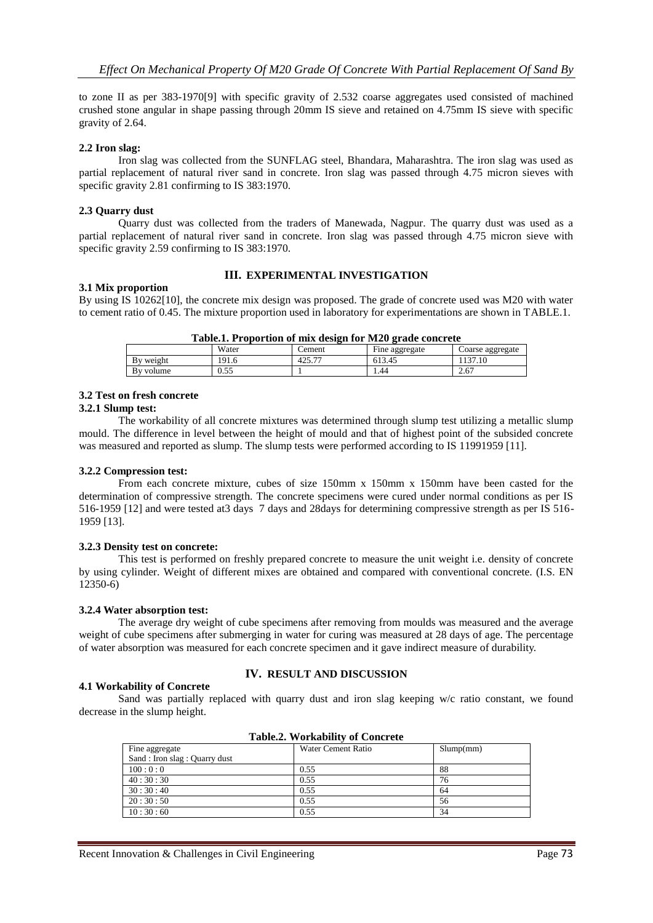to zone II as per 383-1970[9] with specific gravity of 2.532 coarse aggregates used consisted of machined crushed stone angular in shape passing through 20mm IS sieve and retained on 4.75mm IS sieve with specific gravity of 2.64.

## **2.2 Iron slag:**

Iron slag was collected from the SUNFLAG steel, Bhandara, Maharashtra. The iron slag was used as partial replacement of natural river sand in concrete. Iron slag was passed through 4.75 micron sieves with specific gravity 2.81 confirming to IS 383:1970.

## **2.3 Quarry dust**

Quarry dust was collected from the traders of Manewada, Nagpur. The quarry dust was used as a partial replacement of natural river sand in concrete. Iron slag was passed through 4.75 micron sieve with specific gravity 2.59 confirming to IS 383:1970.

## **III. EXPERIMENTAL INVESTIGATION**

## **3.1 Mix proportion**

By using IS 10262[10], the concrete mix design was proposed. The grade of concrete used was M20 with water to cement ratio of 0.45. The mixture proportion used in laboratory for experimentations are shown in TABLE.1.

| Table.I. I Tupul tiun ut hiix design für Imzu graue cunclete |       |        |                |                  |
|--------------------------------------------------------------|-------|--------|----------------|------------------|
|                                                              | Water | 'ement | Fine aggregate | Coarse aggregate |
| By weight                                                    | 191.6 | 425.77 | 613.45         | 137.10           |
| By volume                                                    | 0.55  |        | . 44           | 2.67             |

# **Table.1. Proportion of mix design for M20 grade concrete**

#### **3.2 Test on fresh concrete**

#### **3.2.1 Slump test:**

The workability of all concrete mixtures was determined through slump test utilizing a metallic slump mould. The difference in level between the height of mould and that of highest point of the subsided concrete was measured and reported as slump. The slump tests were performed according to IS 11991959 [11].

#### **3.2.2 Compression test:**

From each concrete mixture, cubes of size 150mm x 150mm x 150mm have been casted for the determination of compressive strength. The concrete specimens were cured under normal conditions as per IS 516-1959 [12] and were tested at3 days 7 days and 28days for determining compressive strength as per IS 516- 1959 [13].

#### **3.2.3 Density test on concrete:**

This test is performed on freshly prepared concrete to measure the unit weight i.e. density of concrete by using cylinder. Weight of different mixes are obtained and compared with conventional concrete. (I.S. EN 12350-6)

#### **3.2.4 Water absorption test:**

The average dry weight of cube specimens after removing from moulds was measured and the average weight of cube specimens after submerging in water for curing was measured at 28 days of age. The percentage of water absorption was measured for each concrete specimen and it gave indirect measure of durability.

## **4.1 Workability of Concrete**

## **IV. RESULT AND DISCUSSION**

Sand was partially replaced with quarry dust and iron slag keeping w/c ratio constant, we found decrease in the slump height.

| Fine aggregate                 | Water Cement Ratio | Slump(mm) |  |
|--------------------------------|--------------------|-----------|--|
| Sand : Iron slag : Quarry dust |                    |           |  |
| 100:0:0                        | 0.55               | 88        |  |
| 40:30:30                       | 0.55               | 76        |  |
| 30:30:40                       | 0.55               | 64        |  |
| 20:30:50                       | 0.55               | 56        |  |
| 10:30:60                       | 0.55               | 34        |  |

|  | <b>Table.2. Workability of Concrete</b> |  |
|--|-----------------------------------------|--|
|--|-----------------------------------------|--|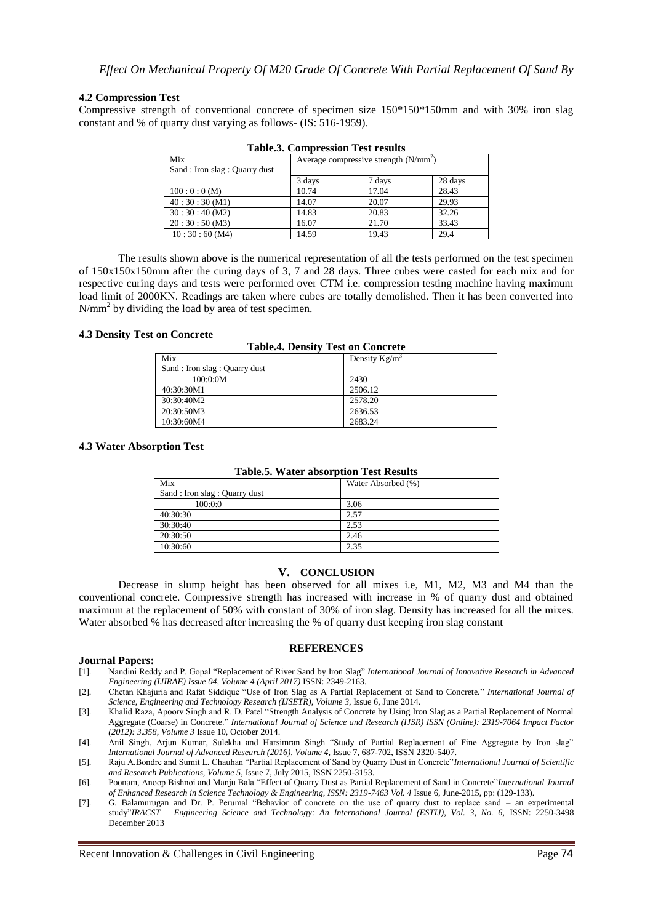## **4.2 Compression Test**

Compressive strength of conventional concrete of specimen size 150\*150\*150mm and with 30% iron slag constant and % of quarry dust varying as follows- (IS: 516-1959).

| Mix                            | Average compressive strength $(N/mm2)$ |        |         |
|--------------------------------|----------------------------------------|--------|---------|
| Sand : Iron slag : Quarry dust |                                        |        |         |
|                                | 3 days                                 | 7 days | 28 days |
| 100:0:0(M)                     | 10.74                                  | 17.04  | 28.43   |
| 40:30:30(M1)                   | 14.07                                  | 20.07  | 29.93   |
| 30:30:40(M2)                   | 14.83                                  | 20.83  | 32.26   |
| 20:30:50(M3)                   | 16.07                                  | 21.70  | 33.43   |
| 10:30:60(M4)                   | 14.59                                  | 19.43  | 29.4    |

**Table.3. Compression Test results**

The results shown above is the numerical representation of all the tests performed on the test specimen of 150x150x150mm after the curing days of 3, 7 and 28 days. Three cubes were casted for each mix and for respective curing days and tests were performed over CTM i.e. compression testing machine having maximum load limit of 2000KN. Readings are taken where cubes are totally demolished. Then it has been converted into  $N/mm<sup>2</sup>$  by dividing the load by area of test specimen.

#### **4.3 Density Test on Concrete**

| <b>Table.4. Density Test on Concrete</b> |                  |  |
|------------------------------------------|------------------|--|
| Mix                                      | Density $Kg/m^3$ |  |
| Sand : Iron slag : Quarry dust           |                  |  |
| 100:0:0M                                 | 2430             |  |
| 40:30:30M1                               | 2506.12          |  |
| 30:30:40M2                               | 2578.20          |  |
| 20:30:50M3                               | 2636.53          |  |
| 10:30:60M4                               | 2683.24          |  |

#### **4.3 Water Absorption Test**

| Table.5. Water absorption Test Results |                    |  |
|----------------------------------------|--------------------|--|
| Mix                                    | Water Absorbed (%) |  |
| Sand : Iron slag : Quarry dust         |                    |  |
| 100:0:0                                | 3.06               |  |
| 40:30:30                               | 2.57               |  |
| 30:30:40                               | 2.53               |  |
| 20:30:50                               | 2.46               |  |
| 10:30:60                               | 2.35               |  |

**Table.5. Water absorption Test Results**

## **V. CONCLUSION**

Decrease in slump height has been observed for all mixes i.e, M1, M2, M3 and M4 than the conventional concrete. Compressive strength has increased with increase in % of quarry dust and obtained maximum at the replacement of 50% with constant of 30% of iron slag. Density has increased for all the mixes. Water absorbed % has decreased after increasing the % of quarry dust keeping iron slag constant

#### **REFERENCES**

#### **Journal Papers:**

- [1]. Nandini Reddy and P. Gopal "Replacement of River Sand by Iron Slag" *International Journal of Innovative Research in Advanced Engineering (IJIRAE) Issue 04, Volume 4 (April 2017)* ISSN: 2349-2163.
- [2]. Chetan Khajuria and Rafat Siddique "Use of Iron Slag as A Partial Replacement of Sand to Concrete." *International Journal of Science, Engineering and Technology Research (IJSETR), Volume 3*, Issue 6, June 2014.
- [3]. Khalid Raza, Apoorv Singh and R. D. Patel "Strength Analysis of Concrete by Using Iron Slag as a Partial Replacement of Normal Aggregate (Coarse) in Concrete." *International Journal of Science and Research (IJSR) ISSN (Online): 2319-7064 Impact Factor (2012): 3.358, Volume 3* Issue 10, October 2014.
- [4]. Anil Singh, Arjun Kumar, Sulekha and Harsimran Singh "Study of Partial Replacement of Fine Aggregate by Iron slag" *International Journal of Advanced Research (2016), Volume 4*, Issue 7, 687-702, ISSN 2320-5407.
- [5]. Raju A.Bondre and Sumit L. Chauhan "Partial Replacement of Sand by Quarry Dust in Concrete"*International Journal of Scientific and Research Publications, Volume 5*, Issue 7, July 2015, ISSN 2250-3153.
- [6]. Poonam, Anoop Bishnoi and Manju Bala "Effect of Quarry Dust as Partial Replacement of Sand in Concrete"*International Journal of Enhanced Research in Science Technology & Engineering, ISSN: 2319-7463 Vol. 4* Issue 6, June-2015, pp: (129-133).
- [7]. G. Balamurugan and Dr. P. Perumal "Behavior of concrete on the use of quarry dust to replace sand an experimental study"*IRACST – Engineering Science and Technology: An International Journal (ESTIJ), Vol. 3, No. 6,* ISSN: 2250-3498 December 2013